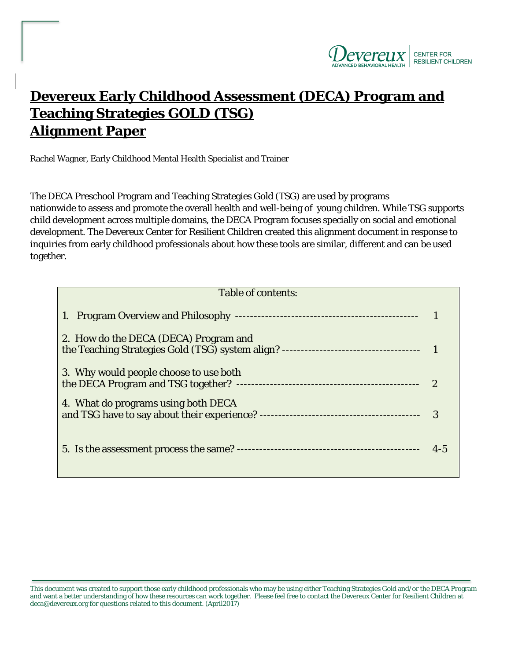

# **Devereux Early Childhood Assessment (DECA) Program and Teaching Strategies GOLD (TSG) Alignment Paper**

Rachel Wagner, Early Childhood Mental Health Specialist and Trainer

The DECA Preschool Program and Teaching Strategies Gold (TSG) are used by programs nationwide to assess and promote the overall health and well-being of young children. While TSG supports child development across multiple domains, the DECA Program focuses specially on social and emotional development. The Devereux Center for Resilient Children created this alignment document in response to inquiries from early childhood professionals about how these tools are similar, different and can be used together.

| Table of contents:                     |         |
|----------------------------------------|---------|
|                                        |         |
| 2. How do the DECA (DECA) Program and  |         |
| 3. Why would people choose to use both |         |
| 4. What do programs using both DECA    | 3       |
|                                        | $4 - 5$ |

This document was created to support those early childhood professionals who may be using either Teaching Strategies Gold and/or the DECA Program and want a better understanding of how these resources can work together. Please feel free to contact the Devereux Center for Resilient Children at deca@devereux.org for questions related to this document. (April2017)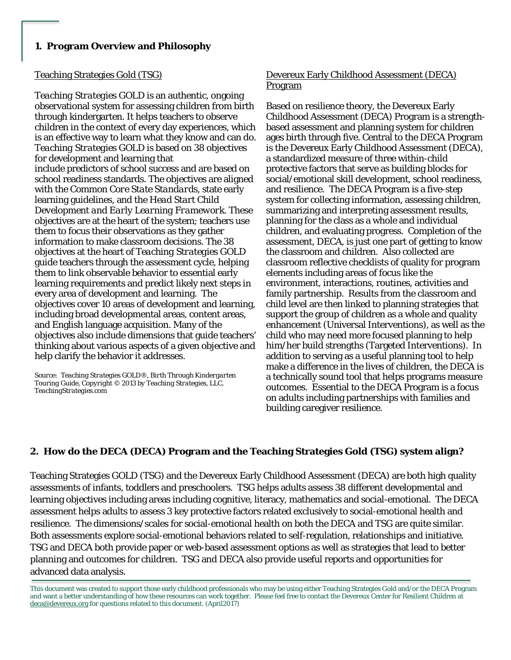*Teaching Strategies GOLD* is an authentic, ongoing observational system for assessing children from birth through kindergarten. It helps teachers to observe children in the context of every day experiences, which is an effective way to learn what they know and can do. *Teaching Strategies GOLD* is based on 38 objectives for development and learning that include predictors of school success and are based on school readiness standards. The objectives are aligned with the *Common Core State Standards*, state early learning guidelines, and the *Head Start Child Development and Early Learning Framework*. These objectives are at the heart of the system; teachers use them to focus their observations as they gather information to make classroom decisions. The 38 objectives at the heart of *Teaching Strategies GOLD*  guide teachers through the assessment cycle, helping them to link observable behavior to essential early learning requirements and predict likely next steps in every area of development and learning. The objectives cover 10 areas of development and learning, including broad developmental areas, content areas, and English language acquisition. Many of the objectives also include dimensions that guide teachers' thinking about various aspects of a given objective and help clarify the behavior it addresses.

*Source: Teaching Strategies GOLD®, Birth Through Kindergarten Touring Guide, Copyright © 2013 by Teaching Strategies, LLC, TeachingStrategies.com*

# Teaching Strategies Gold (TSG) Devereux Early Childhood Assessment (DECA) Program

Based on resilience theory, the Devereux Early Childhood Assessment (DECA) Program is a strengthbased assessment and planning system for children ages birth through five. Central to the DECA Program is the Devereux Early Childhood Assessment (DECA), a standardized measure of three within-child protective factors that serve as building blocks for social/emotional skill development, school readiness, and resilience. The DECA Program is a five-step system for collecting information, assessing children, summarizing and interpreting assessment results, planning for the class as a whole and individual children, and evaluating progress. Completion of the assessment, DECA, is just one part of getting to know the classroom and children. Also collected are classroom reflective checklists of quality for program elements including areas of focus like the environment, interactions, routines, activities and family partnership. Results from the classroom and child level are then linked to planning strategies that support the group of children as a whole and quality enhancement (Universal Interventions), as well as the child who may need more focused planning to help him/her build strengths (Targeted Interventions). In addition to serving as a useful planning tool to help make a difference in the lives of children, the DECA is a technically sound tool that helps programs measure outcomes. Essential to the DECA Program is a focus on adults including partnerships with families and building caregiver resilience.

# **2. How do the DECA (DECA) Program and the Teaching Strategies Gold (TSG) system align?**

Teaching Strategies GOLD (TSG) and the Devereux Early Childhood Assessment (DECA) are both high quality assessments of infants, toddlers and preschoolers. TSG helps adults assess 38 different developmental and learning objectives including areas including cognitive, literacy, mathematics and social-emotional. The DECA assessment helps adults to assess 3 key protective factors related exclusively to social-emotional health and resilience. The dimensions/scales for social-emotional health on both the DECA and TSG are quite similar. Both assessments explore social-emotional behaviors related to self-regulation, relationships and initiative. TSG and DECA both provide paper or web-based assessment options as well as strategies that lead to better planning and outcomes for children. TSG and DECA also provide useful reports and opportunities for advanced data analysis.

This document was created to support those early childhood professionals who may be using either Teaching Strategies Gold and/or the DECA Program and want a better understanding of how these resources can work together. Please feel free to contact the Devereux Center for Resilient Children at deca@devereux.org for questions related to this document. (April2017)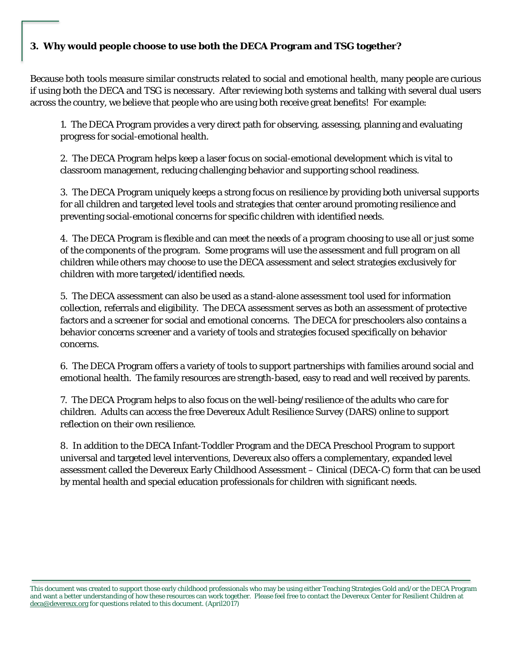# **3. Why would people choose to use both the DECA Program and TSG together?**

Because both tools measure similar constructs related to social and emotional health, many people are curious if using both the DECA and TSG is necessary. After reviewing both systems and talking with several dual users across the country, we believe that people who are using both receive great benefits! For example:

1. The DECA Program provides a very direct path for observing, assessing, planning and evaluating progress for social-emotional health.

2. The DECA Program helps keep a laser focus on social-emotional development which is vital to classroom management, reducing challenging behavior and supporting school readiness.

3. The DECA Program uniquely keeps a strong focus on resilience by providing both universal supports for all children and targeted level tools and strategies that center around promoting resilience and preventing social-emotional concerns for specific children with identified needs.

4. The DECA Program is flexible and can meet the needs of a program choosing to use all or just some of the components of the program. Some programs will use the assessment and full program on all children while others may choose to use the DECA assessment and select strategies exclusively for children with more targeted/identified needs.

5. The DECA assessment can also be used as a stand-alone assessment tool used for information collection, referrals and eligibility. The DECA assessment serves as both an assessment of protective factors and a screener for social and emotional concerns. The DECA for preschoolers also contains a behavior concerns screener and a variety of tools and strategies focused specifically on behavior concerns.

6. The DECA Program offers a variety of tools to support partnerships with families around social and emotional health. The family resources are strength-based, easy to read and well received by parents.

7. The DECA Program helps to also focus on the well-being/resilience of the adults who care for children. Adults can access the free Devereux Adult Resilience Survey (DARS) online to support reflection on their own resilience.

8. In addition to the DECA Infant-Toddler Program and the DECA Preschool Program to support universal and targeted level interventions, Devereux also offers a complementary, expanded level assessment called the Devereux Early Childhood Assessment – Clinical (DECA-C) form that can be used by mental health and special education professionals for children with significant needs.

This document was created to support those early childhood professionals who may be using either Teaching Strategies Gold and/or the DECA Program and want a better understanding of how these resources can work together. Please feel free to contact the Devereux Center for Resilient Children at deca@devereux.org for questions related to this document. (April2017)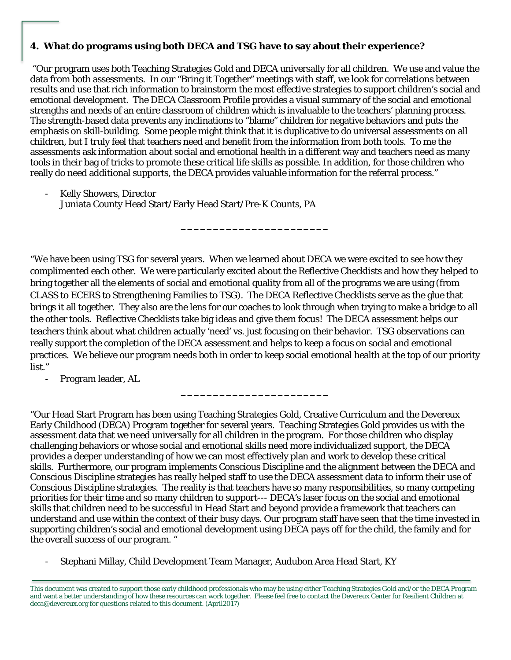# **4. What do programs using both DECA and TSG have to say about their experience?**

"Our program uses both Teaching Strategies Gold and DECA universally for all children. We use and value the data from both assessments. In our "Bring it Together" meetings with staff, we look for correlations between results and use that rich information to brainstorm the most effective strategies to support children's social and emotional development. The DECA Classroom Profile provides a visual summary of the social and emotional strengths and needs of an entire classroom of children which is invaluable to the teachers' planning process. The strength-based data prevents any inclinations to "blame" children for negative behaviors and puts the emphasis on skill-building. Some people might think that it is duplicative to do universal assessments on all children, but I truly feel that teachers need and benefit from the information from both tools. To me the assessments ask information about social and emotional health in a different way and teachers need as many tools in their bag of tricks to promote these critical life skills as possible. In addition, for those children who really do need additional supports, the DECA provides valuable information for the referral process."

Kelly Showers, Director Juniata County Head Start/Early Head Start/Pre-K Counts, PA

"We have been using TSG for several years. When we learned about DECA we were excited to see how they complimented each other. We were particularly excited about the Reflective Checklists and how they helped to bring together all the elements of social and emotional quality from all of the programs we are using (from CLASS to ECERS to Strengthening Families to TSG). The DECA Reflective Checklists serve as the glue that brings it all together. They also are the lens for our coaches to look through when trying to make a bridge to all the other tools. Reflective Checklists take big ideas and give them focus! The DECA assessment helps our teachers think about what children actually 'need' vs. just focusing on their behavior. TSG observations can really support the completion of the DECA assessment and helps to keep a focus on social and emotional practices. We believe our program needs both in order to keep social emotional health at the top of our priority list."

**\_\_\_\_\_\_\_\_\_\_\_\_\_\_\_\_\_\_\_\_\_\_\_**

**\_\_\_\_\_\_\_\_\_\_\_\_\_\_\_\_\_\_\_\_\_\_\_**

Program leader, AL

"Our Head Start Program has been using Teaching Strategies Gold, Creative Curriculum and the Devereux Early Childhood (DECA) Program together for several years. Teaching Strategies Gold provides us with the assessment data that we need universally for all children in the program. For those children who display challenging behaviors or whose social and emotional skills need more individualized support, the DECA provides a deeper understanding of how we can most effectively plan and work to develop these critical skills. Furthermore, our program implements Conscious Discipline and the alignment between the DECA and Conscious Discipline strategies has really helped staff to use the DECA assessment data to inform their use of Conscious Discipline strategies. The reality is that teachers have so many responsibilities, so many competing priorities for their time and so many children to support--- DECA's laser focus on the social and emotional skills that children need to be successful in Head Start and beyond provide a framework that teachers can understand and use within the context of their busy days. Our program staff have seen that the time invested in supporting children's social and emotional development using DECA pays off for the child, the family and for the overall success of our program. "

- Stephani Millay, Child Development Team Manager, Audubon Area Head Start, KY

This document was created to support those early childhood professionals who may be using either Teaching Strategies Gold and/or the DECA Program and want a better understanding of how these resources can work together. Please feel free to contact the Devereux Center for Resilient Children at deca@devereux.org for questions related to this document. (April2017)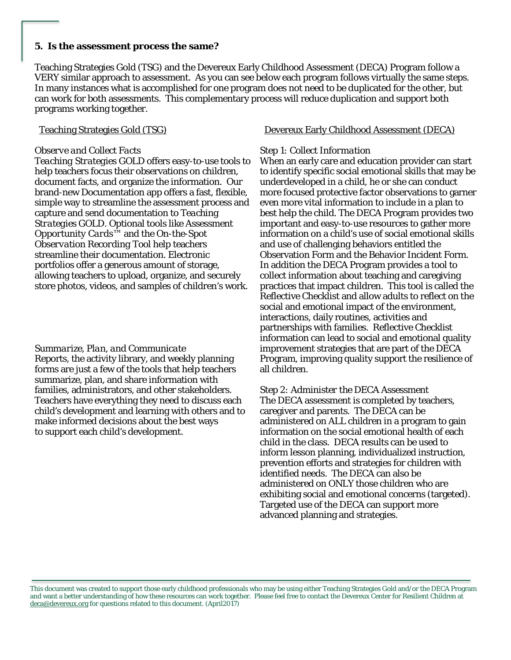#### **5. Is the assessment process the same?**

Teaching Strategies Gold (TSG) and the Devereux Early Childhood Assessment (DECA) Program follow a VERY similar approach to assessment. As you can see below each program follows virtually the same steps. In many instances what is accomplished for one program does not need to be duplicated for the other, but can work for both assessments. This complementary process will reduce duplication and support both programs working together.

### *Observe and Collect Facts*

*Teaching Strategies GOLD* offers easy-to-use tools to help teachers focus their observations on children, document facts, and organize the information. Our brand-new Documentation app offers a fast, flexible, simple way to streamline the assessment process and capture and send documentation to *Teaching Strategies GOLD*. Optional tools like *Assessment Opportunity Cards*™ and the *On-the-Spot Observation Recording Tool* help teachers streamline their documentation. Electronic portfolios offer a generous amount of storage, allowing teachers to upload, organize, and securely store photos, videos, and samples of children's work.

#### *Summarize, Plan, and Communicate*

Reports, the activity library, and weekly planning forms are just a few of the tools that help teachers summarize, plan, and share information with families, administrators, and other stakeholders. Teachers have everything they need to discuss each child's development and learning with others and to make informed decisions about the best ways to support each child's development.

## Teaching Strategies Gold (TSG) Devereux Early Childhood Assessment (DECA)

### *Step 1: Collect Information*

When an early care and education provider can start to identify specific social emotional skills that may be underdeveloped in a child, he or she can conduct more focused protective factor observations to garner even more vital information to include in a plan to best help the child. The DECA Program provides two important and easy-to-use resources to gather more information on a child's use of social emotional skills and use of challenging behaviors entitled the Observation Form and the Behavior Incident Form. In addition the DECA Program provides a tool to collect information about teaching and caregiving practices that impact children. This tool is called the Reflective Checklist and allow adults to reflect on the social and emotional impact of the environment, interactions, daily routines, activities and partnerships with families. Reflective Checklist information can lead to social and emotional quality improvement strategies that are part of the DECA Program, improving quality support the resilience of all children.

*Step 2: Administer the DECA Assessment* The DECA assessment is completed by teachers, caregiver and parents. The DECA can be administered on ALL children in a program to gain information on the social emotional health of each child in the class. DECA results can be used to inform lesson planning, individualized instruction, prevention efforts and strategies for children with identified needs. The DECA can also be administered on ONLY those children who are exhibiting social and emotional concerns (targeted). Targeted use of the DECA can support more advanced planning and strategies.

This document was created to support those early childhood professionals who may be using either Teaching Strategies Gold and/or the DECA Program and want a better understanding of how these resources can work together. Please feel free to contact the Devereux Center for Resilient Children at deca@devereux.org for questions related to this document. (April2017)